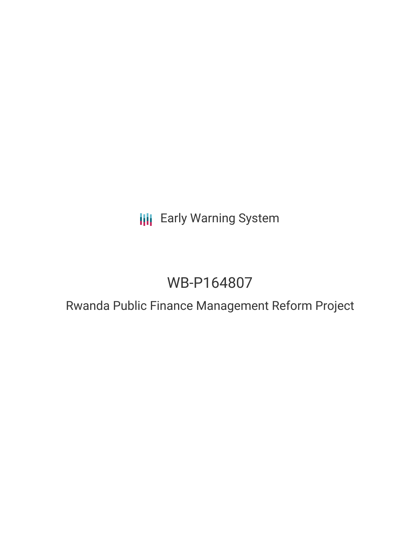**III** Early Warning System

# WB-P164807

# Rwanda Public Finance Management Reform Project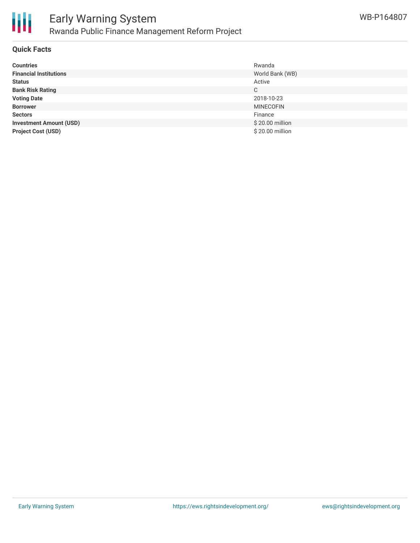

#### **Quick Facts**

| <b>Countries</b>               | Rwanda           |
|--------------------------------|------------------|
| <b>Financial Institutions</b>  | World Bank (WB)  |
| <b>Status</b>                  | Active           |
| <b>Bank Risk Rating</b>        | С                |
| <b>Voting Date</b>             | 2018-10-23       |
| <b>Borrower</b>                | <b>MINECOFIN</b> |
| <b>Sectors</b>                 | Finance          |
| <b>Investment Amount (USD)</b> | \$20.00 million  |
| <b>Project Cost (USD)</b>      | \$20.00 million  |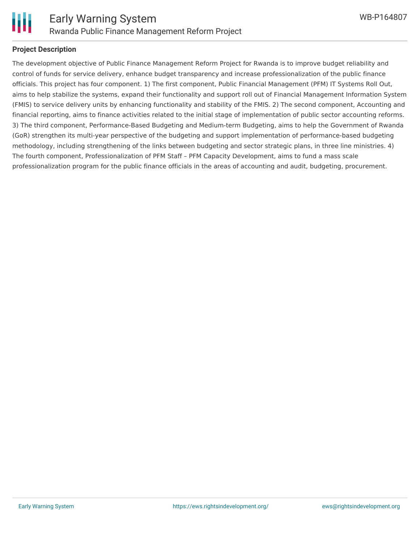

#### **Project Description**

The development objective of Public Finance Management Reform Project for Rwanda is to improve budget reliability and control of funds for service delivery, enhance budget transparency and increase professionalization of the public finance officials. This project has four component. 1) The first component, Public Financial Management (PFM) IT Systems Roll Out, aims to help stabilize the systems, expand their functionality and support roll out of Financial Management Information System (FMIS) to service delivery units by enhancing functionality and stability of the FMIS. 2) The second component, Accounting and financial reporting, aims to finance activities related to the initial stage of implementation of public sector accounting reforms. 3) The third component, Performance-Based Budgeting and Medium-term Budgeting, aims to help the Government of Rwanda (GoR) strengthen its multi-year perspective of the budgeting and support implementation of performance-based budgeting methodology, including strengthening of the links between budgeting and sector strategic plans, in three line ministries. 4) The fourth component, Professionalization of PFM Staff – PFM Capacity Development, aims to fund a mass scale professionalization program for the public finance officials in the areas of accounting and audit, budgeting, procurement.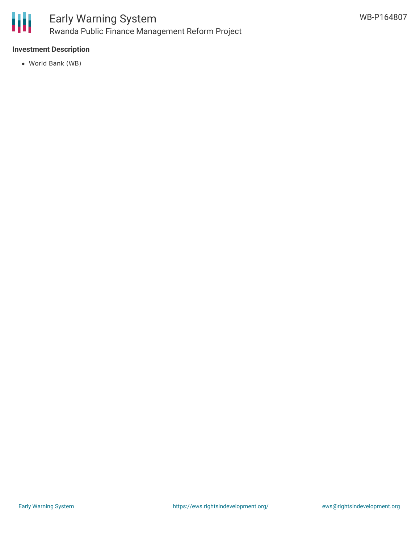

### **Investment Description**

World Bank (WB)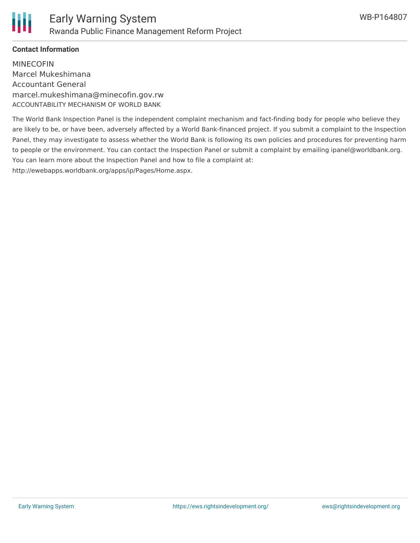

## **Contact Information**

MINECOFIN Marcel Mukeshimana Accountant General marcel.mukeshimana@minecofin.gov.rw ACCOUNTABILITY MECHANISM OF WORLD BANK

The World Bank Inspection Panel is the independent complaint mechanism and fact-finding body for people who believe they are likely to be, or have been, adversely affected by a World Bank-financed project. If you submit a complaint to the Inspection Panel, they may investigate to assess whether the World Bank is following its own policies and procedures for preventing harm to people or the environment. You can contact the Inspection Panel or submit a complaint by emailing ipanel@worldbank.org. You can learn more about the Inspection Panel and how to file a complaint at: http://ewebapps.worldbank.org/apps/ip/Pages/Home.aspx.